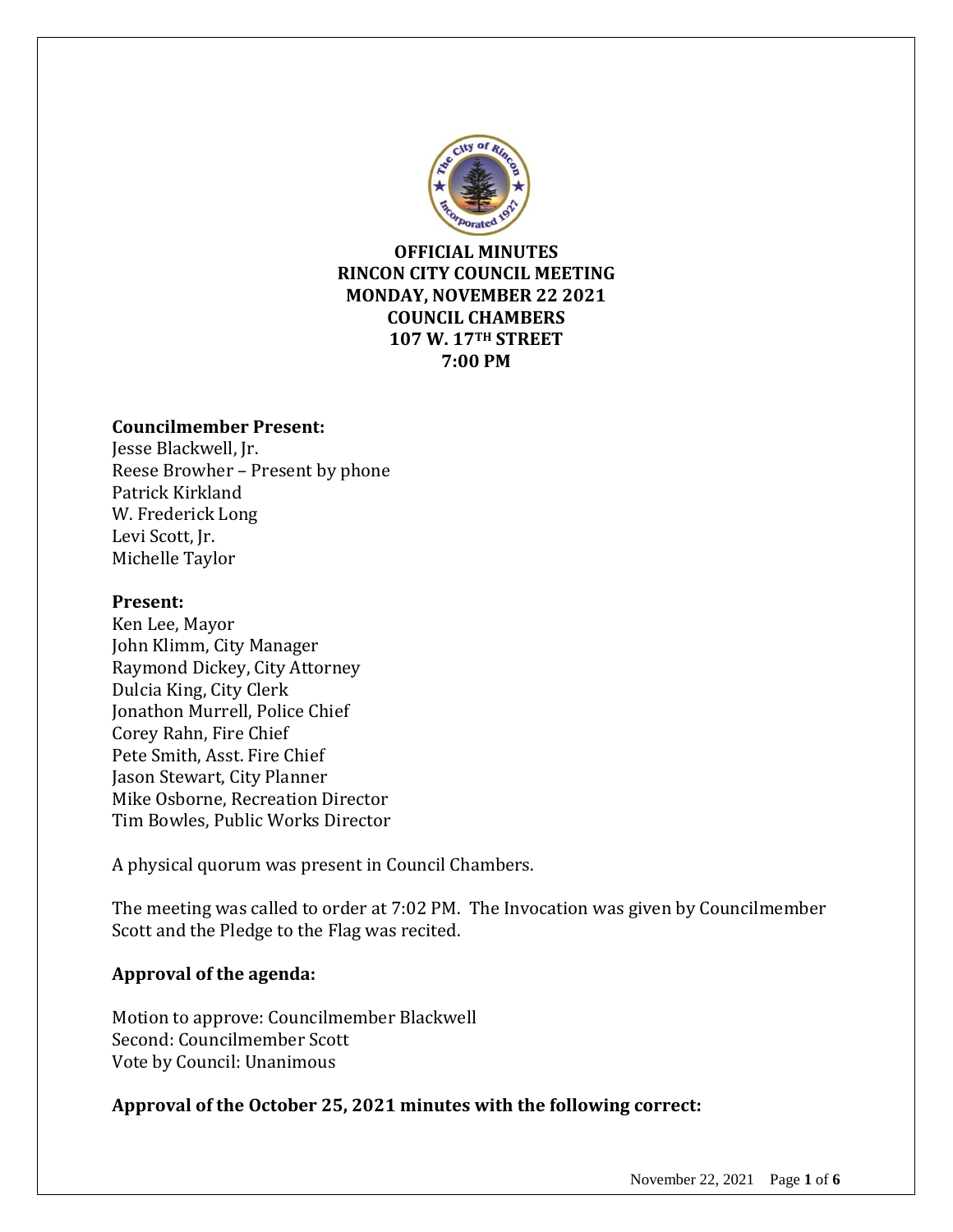

## **OFFICIAL MINUTES RINCON CITY COUNCIL MEETING MONDAY, NOVEMBER 22 2021 COUNCIL CHAMBERS 107 W. 17TH STREET 7:00 PM**

### **Councilmember Present:**

Jesse Blackwell, Jr. Reese Browher – Present by phone Patrick Kirkland W. Frederick Long Levi Scott, Jr. Michelle Taylor

### **Present:**

Ken Lee, Mayor John Klimm, City Manager Raymond Dickey, City Attorney Dulcia King, City Clerk Jonathon Murrell, Police Chief Corey Rahn, Fire Chief Pete Smith, Asst. Fire Chief Jason Stewart, City Planner Mike Osborne, Recreation Director Tim Bowles, Public Works Director

A physical quorum was present in Council Chambers.

The meeting was called to order at 7:02 PM. The Invocation was given by Councilmember Scott and the Pledge to the Flag was recited.

## **Approval of the agenda:**

Motion to approve: Councilmember Blackwell Second: Councilmember Scott Vote by Council: Unanimous

## **Approval of the October 25, 2021 minutes with the following correct:**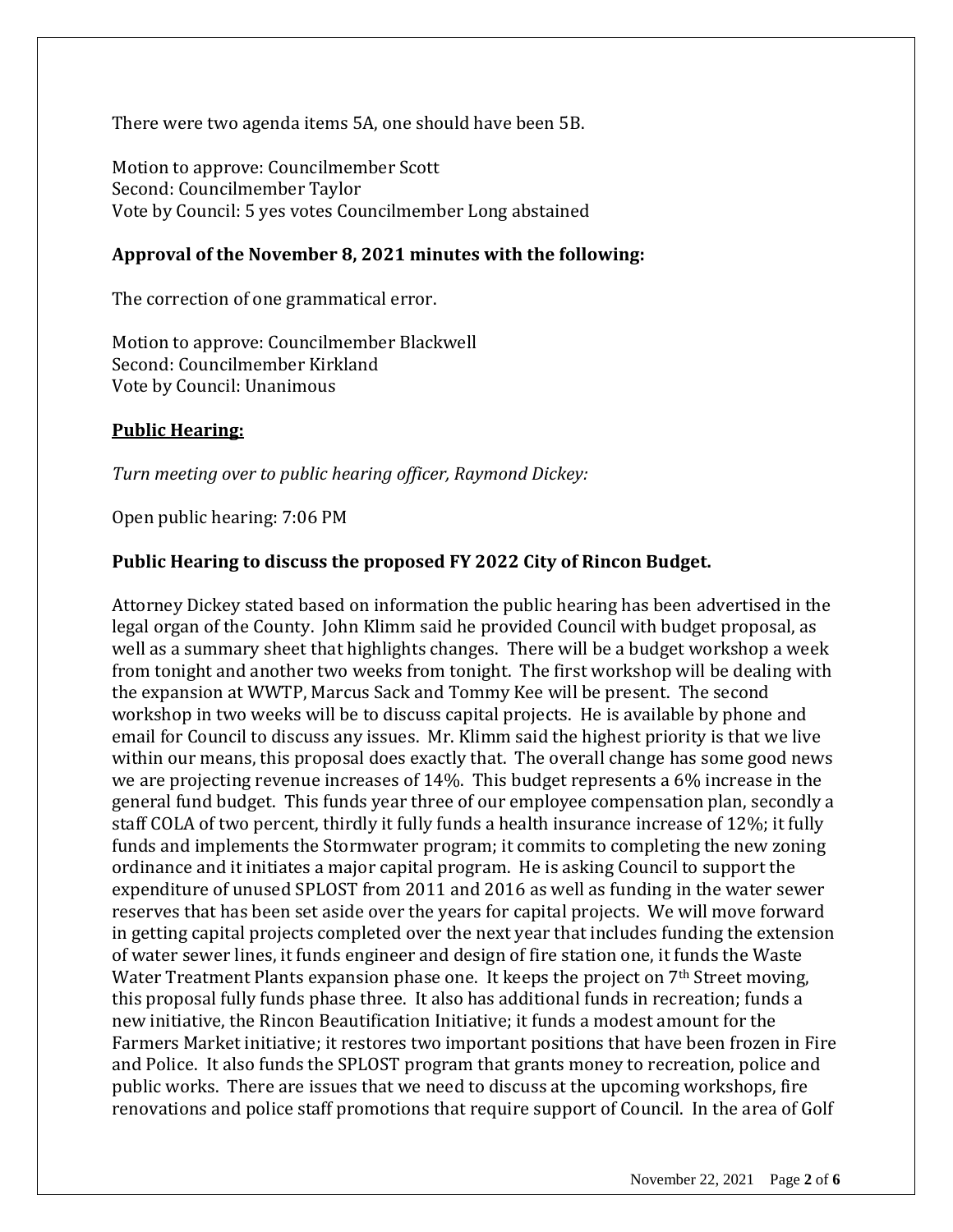There were two agenda items 5A, one should have been 5B.

Motion to approve: Councilmember Scott Second: Councilmember Taylor Vote by Council: 5 yes votes Councilmember Long abstained

### **Approval of the November 8, 2021 minutes with the following:**

The correction of one grammatical error.

Motion to approve: Councilmember Blackwell Second: Councilmember Kirkland Vote by Council: Unanimous

#### **Public Hearing:**

*Turn meeting over to public hearing officer, Raymond Dickey:*

Open public hearing: 7:06 PM

#### **Public Hearing to discuss the proposed FY 2022 City of Rincon Budget.**

Attorney Dickey stated based on information the public hearing has been advertised in the legal organ of the County. John Klimm said he provided Council with budget proposal, as well as a summary sheet that highlights changes. There will be a budget workshop a week from tonight and another two weeks from tonight. The first workshop will be dealing with the expansion at WWTP, Marcus Sack and Tommy Kee will be present. The second workshop in two weeks will be to discuss capital projects. He is available by phone and email for Council to discuss any issues. Mr. Klimm said the highest priority is that we live within our means, this proposal does exactly that. The overall change has some good news we are projecting revenue increases of 14%. This budget represents a 6% increase in the general fund budget. This funds year three of our employee compensation plan, secondly a staff COLA of two percent, thirdly it fully funds a health insurance increase of 12%; it fully funds and implements the Stormwater program; it commits to completing the new zoning ordinance and it initiates a major capital program. He is asking Council to support the expenditure of unused SPLOST from 2011 and 2016 as well as funding in the water sewer reserves that has been set aside over the years for capital projects. We will move forward in getting capital projects completed over the next year that includes funding the extension of water sewer lines, it funds engineer and design of fire station one, it funds the Waste Water Treatment Plants expansion phase one. It keeps the project on 7<sup>th</sup> Street moving, this proposal fully funds phase three. It also has additional funds in recreation; funds a new initiative, the Rincon Beautification Initiative; it funds a modest amount for the Farmers Market initiative; it restores two important positions that have been frozen in Fire and Police. It also funds the SPLOST program that grants money to recreation, police and public works. There are issues that we need to discuss at the upcoming workshops, fire renovations and police staff promotions that require support of Council. In the area of Golf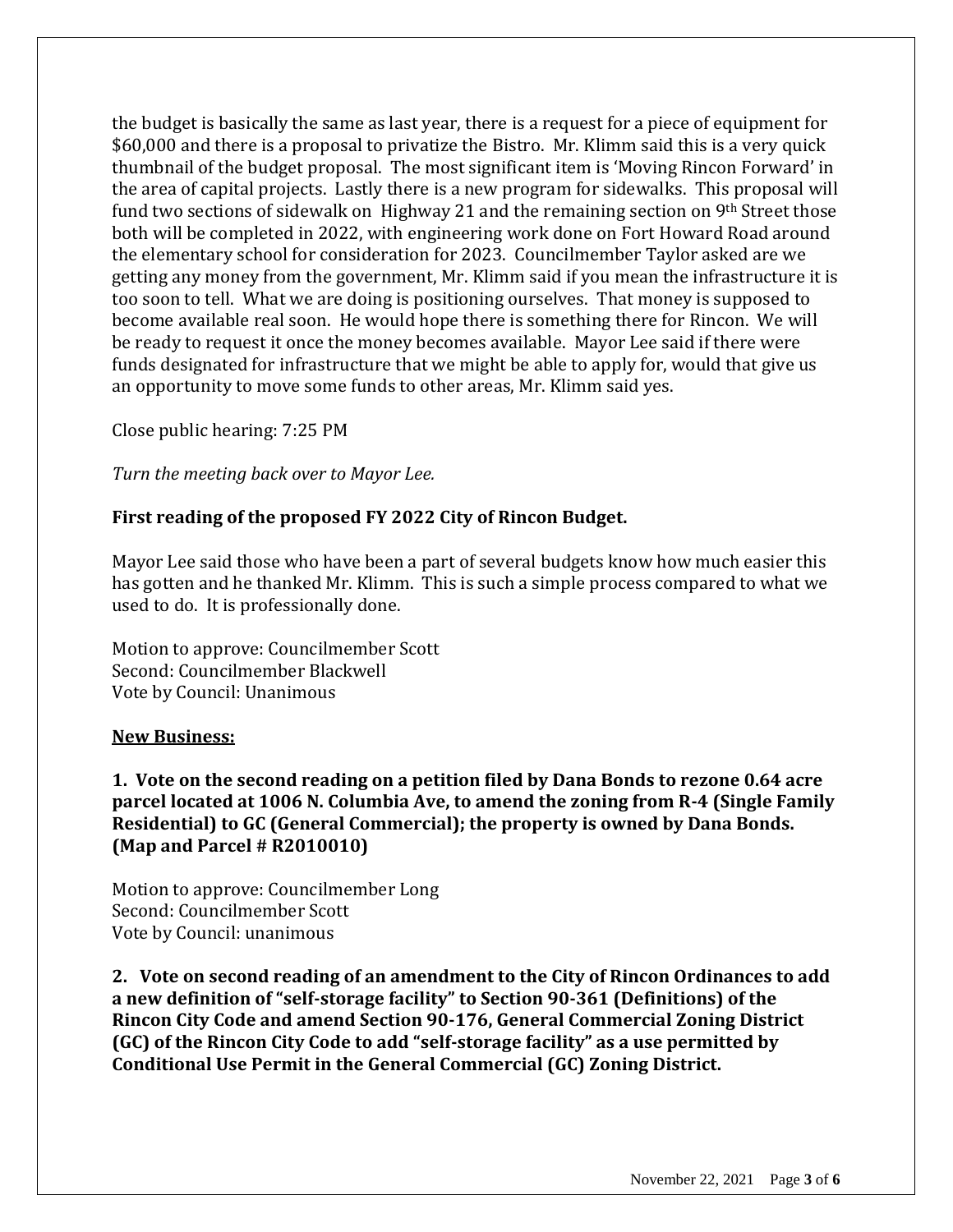the budget is basically the same as last year, there is a request for a piece of equipment for \$60,000 and there is a proposal to privatize the Bistro. Mr. Klimm said this is a very quick thumbnail of the budget proposal. The most significant item is 'Moving Rincon Forward' in the area of capital projects. Lastly there is a new program for sidewalks. This proposal will fund two sections of sidewalk on Highway 21 and the remaining section on 9<sup>th</sup> Street those both will be completed in 2022, with engineering work done on Fort Howard Road around the elementary school for consideration for 2023. Councilmember Taylor asked are we getting any money from the government, Mr. Klimm said if you mean the infrastructure it is too soon to tell. What we are doing is positioning ourselves. That money is supposed to become available real soon. He would hope there is something there for Rincon. We will be ready to request it once the money becomes available. Mayor Lee said if there were funds designated for infrastructure that we might be able to apply for, would that give us an opportunity to move some funds to other areas, Mr. Klimm said yes.

Close public hearing: 7:25 PM

*Turn the meeting back over to Mayor Lee.*

## **First reading of the proposed FY 2022 City of Rincon Budget.**

Mayor Lee said those who have been a part of several budgets know how much easier this has gotten and he thanked Mr. Klimm. This is such a simple process compared to what we used to do. It is professionally done.

Motion to approve: Councilmember Scott Second: Councilmember Blackwell Vote by Council: Unanimous

#### **New Business:**

**1. Vote on the second reading on a petition filed by Dana Bonds to rezone 0.64 acre parcel located at 1006 N. Columbia Ave, to amend the zoning from R-4 (Single Family Residential) to GC (General Commercial); the property is owned by Dana Bonds. (Map and Parcel # R2010010)**

Motion to approve: Councilmember Long Second: Councilmember Scott Vote by Council: unanimous

**2. Vote on second reading of an amendment to the City of Rincon Ordinances to add a new definition of "self-storage facility" to Section 90-361 (Definitions) of the Rincon City Code and amend Section 90-176, General Commercial Zoning District (GC) of the Rincon City Code to add "self-storage facility" as a use permitted by Conditional Use Permit in the General Commercial (GC) Zoning District.**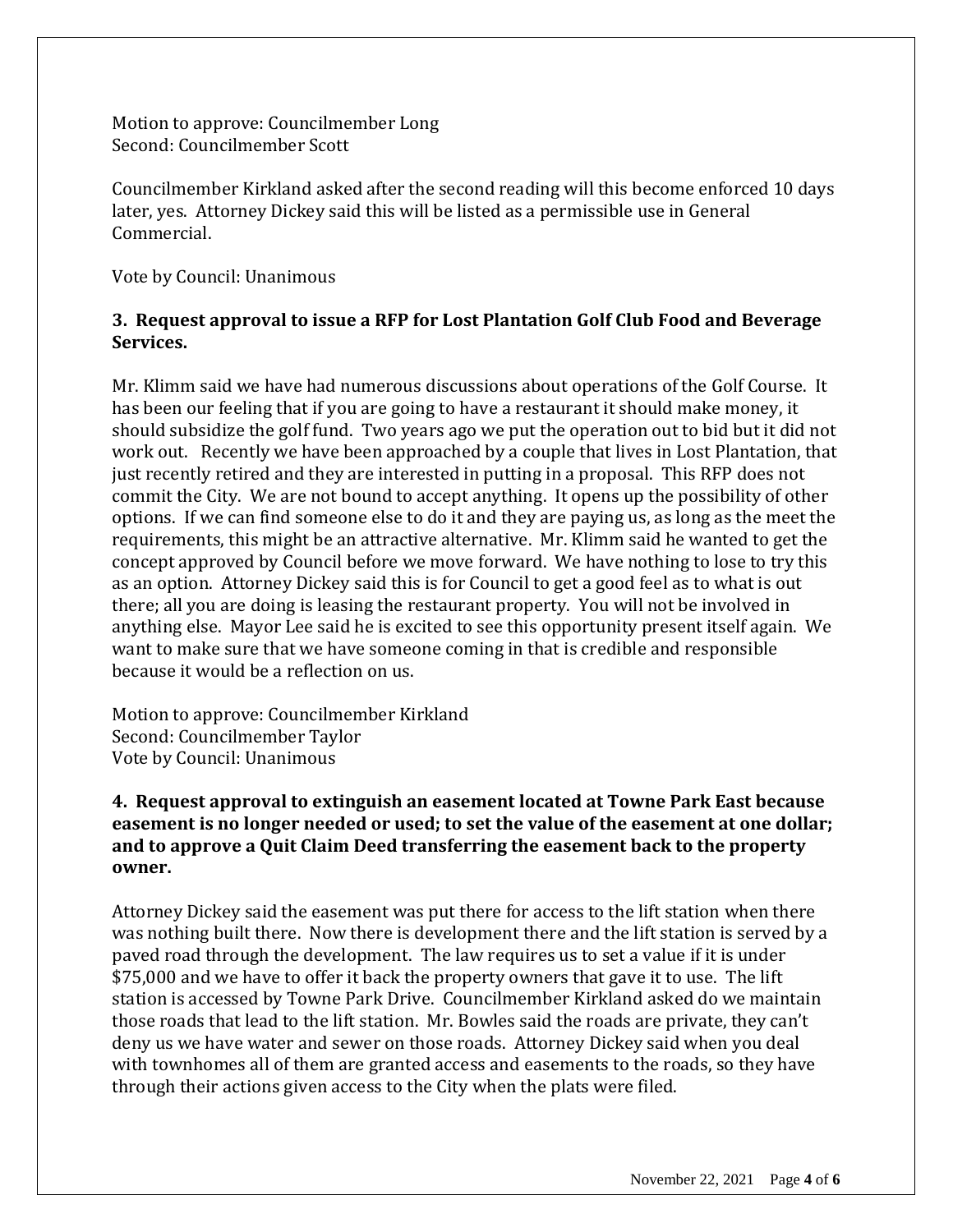Motion to approve: Councilmember Long Second: Councilmember Scott

Councilmember Kirkland asked after the second reading will this become enforced 10 days later, yes. Attorney Dickey said this will be listed as a permissible use in General Commercial.

Vote by Council: Unanimous

## **3. Request approval to issue a RFP for Lost Plantation Golf Club Food and Beverage Services.**

Mr. Klimm said we have had numerous discussions about operations of the Golf Course. It has been our feeling that if you are going to have a restaurant it should make money, it should subsidize the golf fund. Two years ago we put the operation out to bid but it did not work out. Recently we have been approached by a couple that lives in Lost Plantation, that just recently retired and they are interested in putting in a proposal. This RFP does not commit the City. We are not bound to accept anything. It opens up the possibility of other options. If we can find someone else to do it and they are paying us, as long as the meet the requirements, this might be an attractive alternative. Mr. Klimm said he wanted to get the concept approved by Council before we move forward. We have nothing to lose to try this as an option. Attorney Dickey said this is for Council to get a good feel as to what is out there; all you are doing is leasing the restaurant property. You will not be involved in anything else. Mayor Lee said he is excited to see this opportunity present itself again. We want to make sure that we have someone coming in that is credible and responsible because it would be a reflection on us.

Motion to approve: Councilmember Kirkland Second: Councilmember Taylor Vote by Council: Unanimous

## **4. Request approval to extinguish an easement located at Towne Park East because easement is no longer needed or used; to set the value of the easement at one dollar; and to approve a Quit Claim Deed transferring the easement back to the property owner.**

Attorney Dickey said the easement was put there for access to the lift station when there was nothing built there. Now there is development there and the lift station is served by a paved road through the development. The law requires us to set a value if it is under \$75,000 and we have to offer it back the property owners that gave it to use. The lift station is accessed by Towne Park Drive. Councilmember Kirkland asked do we maintain those roads that lead to the lift station. Mr. Bowles said the roads are private, they can't deny us we have water and sewer on those roads. Attorney Dickey said when you deal with townhomes all of them are granted access and easements to the roads, so they have through their actions given access to the City when the plats were filed.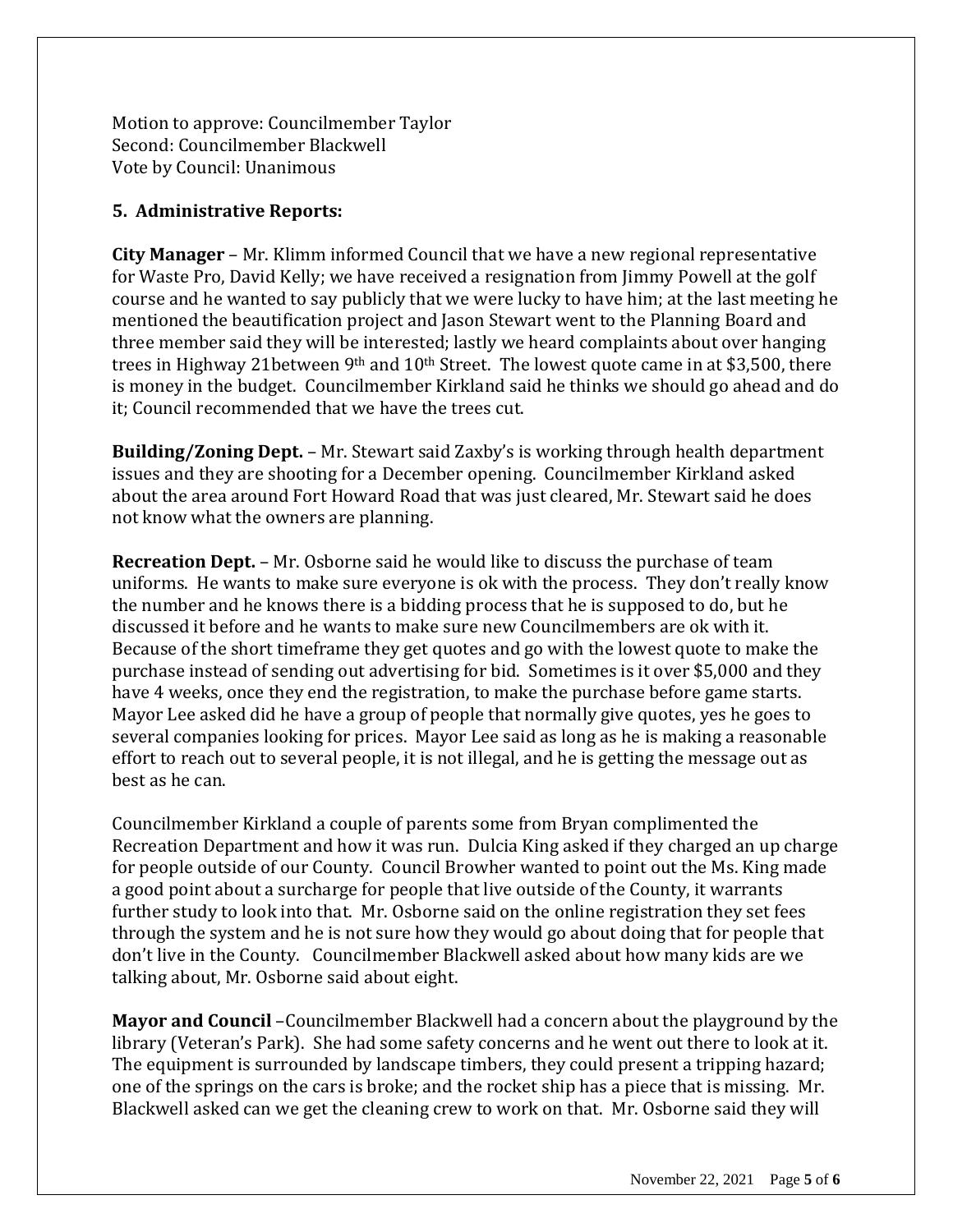Motion to approve: Councilmember Taylor Second: Councilmember Blackwell Vote by Council: Unanimous

# **5. Administrative Reports:**

**City Manager** – Mr. Klimm informed Council that we have a new regional representative for Waste Pro, David Kelly; we have received a resignation from Jimmy Powell at the golf course and he wanted to say publicly that we were lucky to have him; at the last meeting he mentioned the beautification project and Jason Stewart went to the Planning Board and three member said they will be interested; lastly we heard complaints about over hanging trees in Highway 21between 9<sup>th</sup> and 10<sup>th</sup> Street. The lowest quote came in at \$3,500, there is money in the budget. Councilmember Kirkland said he thinks we should go ahead and do it; Council recommended that we have the trees cut.

**Building/Zoning Dept.** – Mr. Stewart said Zaxby's is working through health department issues and they are shooting for a December opening. Councilmember Kirkland asked about the area around Fort Howard Road that was just cleared, Mr. Stewart said he does not know what the owners are planning.

**Recreation Dept.** – Mr. Osborne said he would like to discuss the purchase of team uniforms. He wants to make sure everyone is ok with the process. They don't really know the number and he knows there is a bidding process that he is supposed to do, but he discussed it before and he wants to make sure new Councilmembers are ok with it. Because of the short timeframe they get quotes and go with the lowest quote to make the purchase instead of sending out advertising for bid. Sometimes is it over \$5,000 and they have 4 weeks, once they end the registration, to make the purchase before game starts. Mayor Lee asked did he have a group of people that normally give quotes, yes he goes to several companies looking for prices. Mayor Lee said as long as he is making a reasonable effort to reach out to several people, it is not illegal, and he is getting the message out as best as he can.

Councilmember Kirkland a couple of parents some from Bryan complimented the Recreation Department and how it was run. Dulcia King asked if they charged an up charge for people outside of our County. Council Browher wanted to point out the Ms. King made a good point about a surcharge for people that live outside of the County, it warrants further study to look into that. Mr. Osborne said on the online registration they set fees through the system and he is not sure how they would go about doing that for people that don't live in the County. Councilmember Blackwell asked about how many kids are we talking about, Mr. Osborne said about eight.

**Mayor and Council** –Councilmember Blackwell had a concern about the playground by the library (Veteran's Park). She had some safety concerns and he went out there to look at it. The equipment is surrounded by landscape timbers, they could present a tripping hazard; one of the springs on the cars is broke; and the rocket ship has a piece that is missing. Mr. Blackwell asked can we get the cleaning crew to work on that. Mr. Osborne said they will